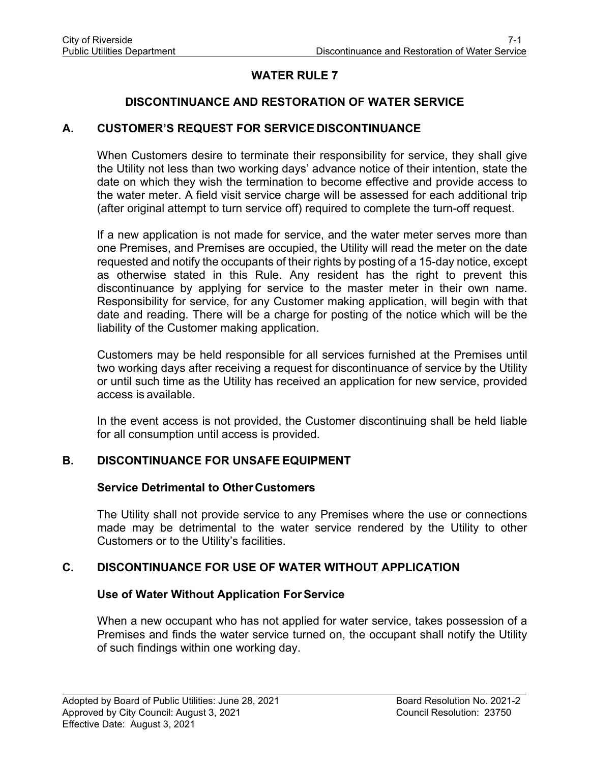# **WATER RULE 7**

## **DISCONTINUANCE AND RESTORATION OF WATER SERVICE**

### **A. CUSTOMER'S REQUEST FOR SERVICEDISCONTINUANCE**

When Customers desire to terminate their responsibility for service, they shall give the Utility not less than two working days' advance notice of their intention, state the date on which they wish the termination to become effective and provide access to the water meter. A field visit service charge will be assessed for each additional trip (after original attempt to turn service off) required to complete the turn-off request.

If a new application is not made for service, and the water meter serves more than one Premises, and Premises are occupied, the Utility will read the meter on the date requested and notify the occupants of their rights by posting of a 15-day notice, except as otherwise stated in this Rule. Any resident has the right to prevent this discontinuance by applying for service to the master meter in their own name. Responsibility for service, for any Customer making application, will begin with that date and reading. There will be a charge for posting of the notice which will be the liability of the Customer making application.

Customers may be held responsible for all services furnished at the Premises until two working days after receiving a request for discontinuance of service by the Utility or until such time as the Utility has received an application for new service, provided access is available.

In the event access is not provided, the Customer discontinuing shall be held liable for all consumption until access is provided.

### **B. DISCONTINUANCE FOR UNSAFE EQUIPMENT**

#### **Service Detrimental to Other Customers**

The Utility shall not provide service to any Premises where the use or connections made may be detrimental to the water service rendered by the Utility to other Customers or to the Utility's facilities.

### **C. DISCONTINUANCE FOR USE OF WATER WITHOUT APPLICATION**

#### **Use of Water Without Application ForService**

When a new occupant who has not applied for water service, takes possession of a Premises and finds the water service turned on, the occupant shall notify the Utility of such findings within one working day.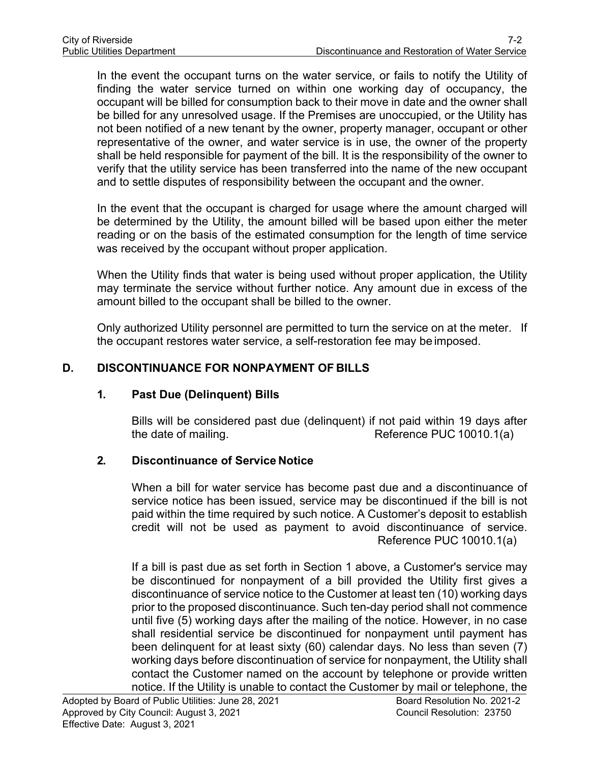In the event the occupant turns on the water service, or fails to notify the Utility of finding the water service turned on within one working day of occupancy, the occupant will be billed for consumption back to their move in date and the owner shall be billed for any unresolved usage. If the Premises are unoccupied, or the Utility has not been notified of a new tenant by the owner, property manager, occupant or other representative of the owner, and water service is in use, the owner of the property shall be held responsible for payment of the bill. It is the responsibility of the owner to verify that the utility service has been transferred into the name of the new occupant and to settle disputes of responsibility between the occupant and the owner.

In the event that the occupant is charged for usage where the amount charged will be determined by the Utility, the amount billed will be based upon either the meter reading or on the basis of the estimated consumption for the length of time service was received by the occupant without proper application.

When the Utility finds that water is being used without proper application, the Utility may terminate the service without further notice. Any amount due in excess of the amount billed to the occupant shall be billed to the owner.

Only authorized Utility personnel are permitted to turn the service on at the meter. If the occupant restores water service, a self-restoration fee may be imposed.

## **D. DISCONTINUANCE FOR NONPAYMENT OF BILLS**

### **1. Past Due (Delinquent) Bills**

Bills will be considered past due (delinquent) if not paid within 19 days after the date of mailing. The state of mailing.

## **2. Discontinuance of Service Notice**

When a bill for water service has become past due and a discontinuance of service notice has been issued, service may be discontinued if the bill is not paid within the time required by such notice. A Customer's deposit to establish credit will not be used as payment to avoid discontinuance of service. Reference PUC 10010.1(a)

If a bill is past due as set forth in Section 1 above, a Customer's service may be discontinued for nonpayment of a bill provided the Utility first gives a discontinuance of service notice to the Customer at least ten (10) working days prior to the proposed discontinuance. Such ten-day period shall not commence until five (5) working days after the mailing of the notice. However, in no case shall residential service be discontinued for nonpayment until payment has been delinquent for at least sixty (60) calendar days. No less than seven (7) working days before discontinuation of service for nonpayment, the Utility shall contact the Customer named on the account by telephone or provide written notice. If the Utility is unable to contact the Customer by mail or telephone, the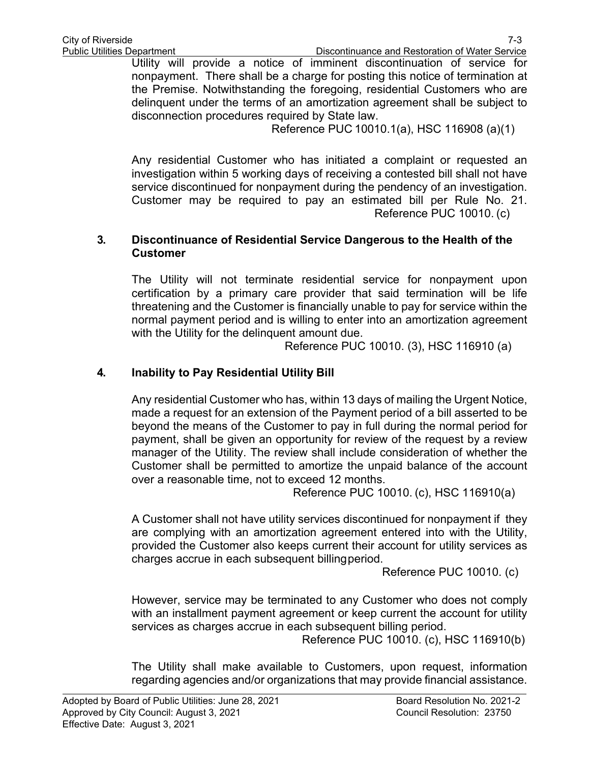Utility will provide a notice of imminent discontinuation of service for nonpayment. There shall be a charge for posting this notice of termination at the Premise. Notwithstanding the foregoing, residential Customers who are delinquent under the terms of an amortization agreement shall be subject to disconnection procedures required by State law.

Reference PUC 10010.1(a), HSC 116908 (a)(1)

Any residential Customer who has initiated a complaint or requested an investigation within 5 working days of receiving a contested bill shall not have service discontinued for nonpayment during the pendency of an investigation. Customer may be required to pay an estimated bill per Rule No. 21. Reference PUC 10010. (c)

### **3. Discontinuance of Residential Service Dangerous to the Health of the Customer**

The Utility will not terminate residential service for nonpayment upon certification by a primary care provider that said termination will be life threatening and the Customer is financially unable to pay for service within the normal payment period and is willing to enter into an amortization agreement with the Utility for the delinquent amount due.

Reference PUC 10010. (3), HSC 116910 (a)

# **4. Inability to Pay Residential Utility Bill**

Any residential Customer who has, within 13 days of mailing the Urgent Notice, made a request for an extension of the Payment period of a bill asserted to be beyond the means of the Customer to pay in full during the normal period for payment, shall be given an opportunity for review of the request by a review manager of the Utility. The review shall include consideration of whether the Customer shall be permitted to amortize the unpaid balance of the account over a reasonable time, not to exceed 12 months.

Reference PUC 10010. (c), HSC 116910(a)

A Customer shall not have utility services discontinued for nonpayment if they are complying with an amortization agreement entered into with the Utility, provided the Customer also keeps current their account for utility services as charges accrue in each subsequent billingperiod.

Reference PUC 10010. (c)

However, service may be terminated to any Customer who does not comply with an installment payment agreement or keep current the account for utility services as charges accrue in each subsequent billing period.

Reference PUC 10010. (c), HSC 116910(b)

The Utility shall make available to Customers, upon request, information regarding agencies and/or organizations that may provide financial assistance.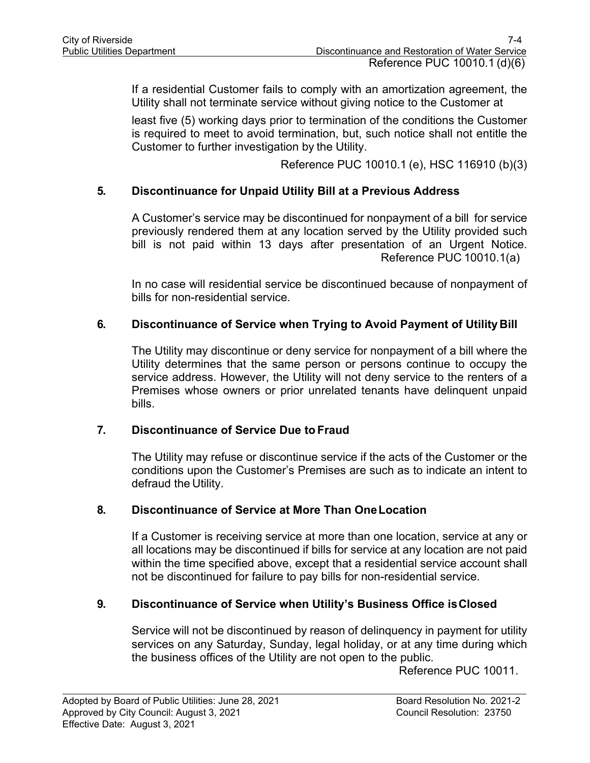If a residential Customer fails to comply with an amortization agreement, the Utility shall not terminate service without giving notice to the Customer at

least five (5) working days prior to termination of the conditions the Customer is required to meet to avoid termination, but, such notice shall not entitle the Customer to further investigation by the Utility.

Reference PUC 10010.1 (e), HSC 116910 (b)(3)

### **5. Discontinuance for Unpaid Utility Bill at a Previous Address**

A Customer's service may be discontinued for nonpayment of a bill for service previously rendered them at any location served by the Utility provided such bill is not paid within 13 days after presentation of an Urgent Notice. Reference PUC 10010.1(a)

In no case will residential service be discontinued because of nonpayment of bills for non-residential service.

## **6. Discontinuance of Service when Trying to Avoid Payment of Utility Bill**

The Utility may discontinue or deny service for nonpayment of a bill where the Utility determines that the same person or persons continue to occupy the service address. However, the Utility will not deny service to the renters of a Premises whose owners or prior unrelated tenants have delinquent unpaid bills.

### **7. Discontinuance of Service Due to Fraud**

The Utility may refuse or discontinue service if the acts of the Customer or the conditions upon the Customer's Premises are such as to indicate an intent to defraud the Utility.

### **8. Discontinuance of Service at More Than OneLocation**

If a Customer is receiving service at more than one location, service at any or all locations may be discontinued if bills for service at any location are not paid within the time specified above, except that a residential service account shall not be discontinued for failure to pay bills for non-residential service.

### **9. Discontinuance of Service when Utility's Business Office isClosed**

Service will not be discontinued by reason of delinquency in payment for utility services on any Saturday, Sunday, legal holiday, or at any time during which the business offices of the Utility are not open to the public.

Reference PUC 10011.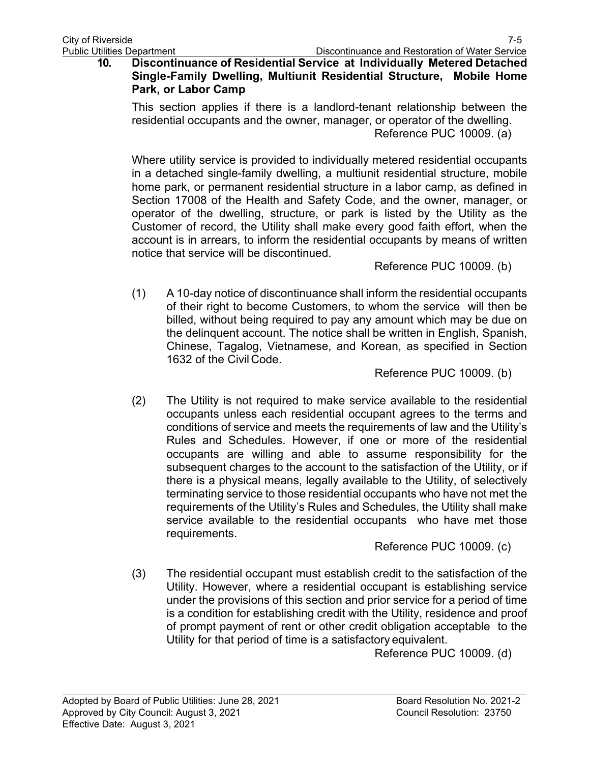### **10. Discontinuance of Residential Service at Individually Metered Detached Single-Family Dwelling, Multiunit Residential Structure, Mobile Home Park, or Labor Camp**

This section applies if there is a landlord-tenant relationship between the residential occupants and the owner, manager, or operator of the dwelling. Reference PUC 10009. (a)

Where utility service is provided to individually metered residential occupants in a detached single-family dwelling, a multiunit residential structure, mobile home park, or permanent residential structure in a labor camp, as defined in Section 17008 of the Health and Safety Code, and the owner, manager, or operator of the dwelling, structure, or park is listed by the Utility as the Customer of record, the Utility shall make every good faith effort, when the account is in arrears, to inform the residential occupants by means of written notice that service will be discontinued.

Reference PUC 10009. (b)

(1) A 10-day notice of discontinuance shall inform the residential occupants of their right to become Customers, to whom the service will then be billed, without being required to pay any amount which may be due on the delinquent account. The notice shall be written in English, Spanish, Chinese, Tagalog, Vietnamese, and Korean, as specified in Section 1632 of the Civil Code.

Reference PUC 10009. (b)

(2) The Utility is not required to make service available to the residential occupants unless each residential occupant agrees to the terms and conditions of service and meets the requirements of law and the Utility's Rules and Schedules. However, if one or more of the residential occupants are willing and able to assume responsibility for the subsequent charges to the account to the satisfaction of the Utility, or if there is a physical means, legally available to the Utility, of selectively terminating service to those residential occupants who have not met the requirements of the Utility's Rules and Schedules, the Utility shall make service available to the residential occupants who have met those requirements.

Reference PUC 10009. (c)

(3) The residential occupant must establish credit to the satisfaction of the Utility. However, where a residential occupant is establishing service under the provisions of this section and prior service for a period of time is a condition for establishing credit with the Utility, residence and proof of prompt payment of rent or other credit obligation acceptable to the Utility for that period of time is a satisfactory equivalent.

Reference PUC 10009. (d)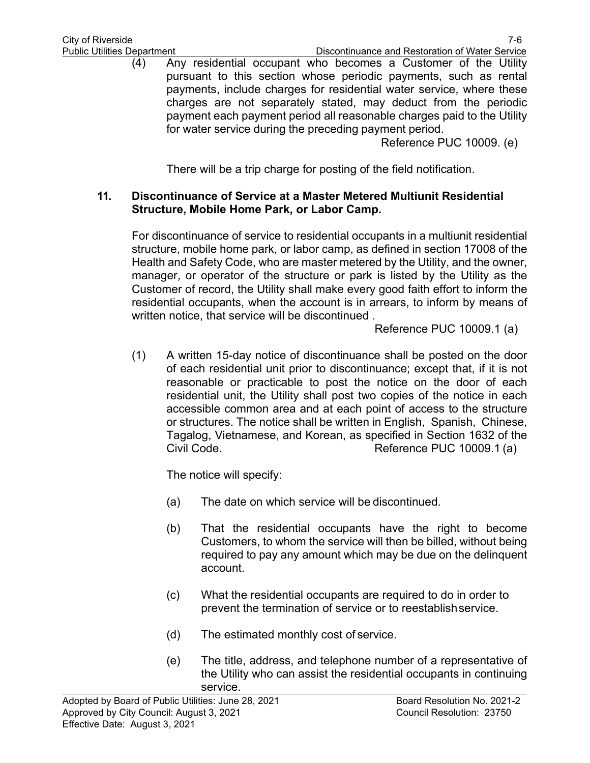(4) Any residential occupant who becomes a Customer of the Utility pursuant to this section whose periodic payments, such as rental payments, include charges for residential water service, where these charges are not separately stated, may deduct from the periodic payment each payment period all reasonable charges paid to the Utility for water service during the preceding payment period.

Reference PUC 10009. (e)

There will be a trip charge for posting of the field notification.

### **11. Discontinuance of Service at a Master Metered Multiunit Residential Structure, Mobile Home Park, or Labor Camp.**

For discontinuance of service to residential occupants in a multiunit residential structure, mobile home park, or labor camp, as defined in section 17008 of the Health and Safety Code, who are master metered by the Utility, and the owner, manager, or operator of the structure or park is listed by the Utility as the Customer of record, the Utility shall make every good faith effort to inform the residential occupants, when the account is in arrears, to inform by means of written notice, that service will be discontinued .

Reference PUC 10009.1 (a)

(1) A written 15-day notice of discontinuance shall be posted on the door of each residential unit prior to discontinuance; except that, if it is not reasonable or practicable to post the notice on the door of each residential unit, the Utility shall post two copies of the notice in each accessible common area and at each point of access to the structure or structures. The notice shall be written in English, Spanish, Chinese, Tagalog, Vietnamese, and Korean, as specified in Section 1632 of the Civil Code. Civil Code. Civil Code.

The notice will specify:

- (a) The date on which service will be discontinued.
- (b) That the residential occupants have the right to become Customers, to whom the service will then be billed, without being required to pay any amount which may be due on the delinquent account.
- (c) What the residential occupants are required to do in order to prevent the termination of service or to reestablishservice.
- (d) The estimated monthly cost of service.
- (e) The title, address, and telephone number of a representative of the Utility who can assist the residential occupants in continuing service.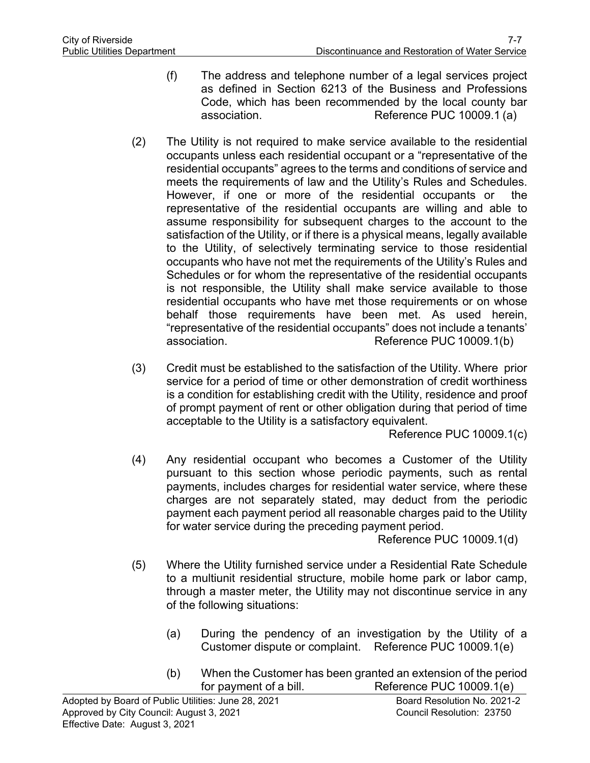- (f) The address and telephone number of a legal services project as defined in Section 6213 of the Business and Professions Code, which has been recommended by the local county bar association. Reference PUC 10009.1 (a)
- (2) The Utility is not required to make service available to the residential occupants unless each residential occupant or a "representative of the residential occupants" agrees to the terms and conditions of service and meets the requirements of law and the Utility's Rules and Schedules. However, if one or more of the residential occupants or the representative of the residential occupants are willing and able to assume responsibility for subsequent charges to the account to the satisfaction of the Utility, or if there is a physical means, legally available to the Utility, of selectively terminating service to those residential occupants who have not met the requirements of the Utility's Rules and Schedules or for whom the representative of the residential occupants is not responsible, the Utility shall make service available to those residential occupants who have met those requirements or on whose behalf those requirements have been met. As used herein, "representative of the residential occupants" does not include a tenants' association. The results of the Reference PUC 10009.1(b)
- (3) Credit must be established to the satisfaction of the Utility. Where prior service for a period of time or other demonstration of credit worthiness is a condition for establishing credit with the Utility, residence and proof of prompt payment of rent or other obligation during that period of time acceptable to the Utility is a satisfactory equivalent.

Reference PUC 10009.1(c)

(4) Any residential occupant who becomes a Customer of the Utility pursuant to this section whose periodic payments, such as rental payments, includes charges for residential water service, where these charges are not separately stated, may deduct from the periodic payment each payment period all reasonable charges paid to the Utility for water service during the preceding payment period.

Reference PUC 10009.1(d)

- (5) Where the Utility furnished service under a Residential Rate Schedule to a multiunit residential structure, mobile home park or labor camp, through a master meter, the Utility may not discontinue service in any of the following situations:
	- (a) During the pendency of an investigation by the Utility of a Customer dispute or complaint. Reference PUC 10009.1(e)
	- (b) When the Customer has been granted an extension of the period for payment of a bill. Reference PUC 10009.1(e)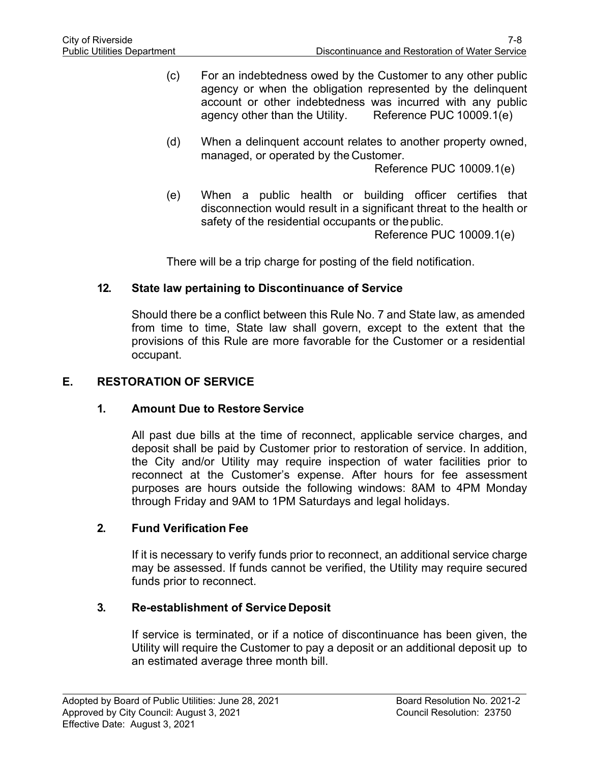- (c) For an indebtedness owed by the Customer to any other public agency or when the obligation represented by the delinquent account or other indebtedness was incurred with any public agency other than the Utility. Reference PUC 10009.1(e)
- (d) When a delinquent account relates to another property owned, managed, or operated by the Customer.

Reference PUC 10009.1(e)

(e) When a public health or building officer certifies that disconnection would result in a significant threat to the health or safety of the residential occupants or thepublic.

Reference PUC 10009.1(e)

There will be a trip charge for posting of the field notification.

#### **12. State law pertaining to Discontinuance of Service**

Should there be a conflict between this Rule No. 7 and State law, as amended from time to time, State law shall govern, except to the extent that the provisions of this Rule are more favorable for the Customer or a residential occupant.

### **E. RESTORATION OF SERVICE**

#### **1. Amount Due to Restore Service**

All past due bills at the time of reconnect, applicable service charges, and deposit shall be paid by Customer prior to restoration of service. In addition, the City and/or Utility may require inspection of water facilities prior to reconnect at the Customer's expense. After hours for fee assessment purposes are hours outside the following windows: 8AM to 4PM Monday through Friday and 9AM to 1PM Saturdays and legal holidays.

#### **2. Fund Verification Fee**

If it is necessary to verify funds prior to reconnect, an additional service charge may be assessed. If funds cannot be verified, the Utility may require secured funds prior to reconnect.

#### **3. Re-establishment of Service Deposit**

If service is terminated, or if a notice of discontinuance has been given, the Utility will require the Customer to pay a deposit or an additional deposit up to an estimated average three month bill.